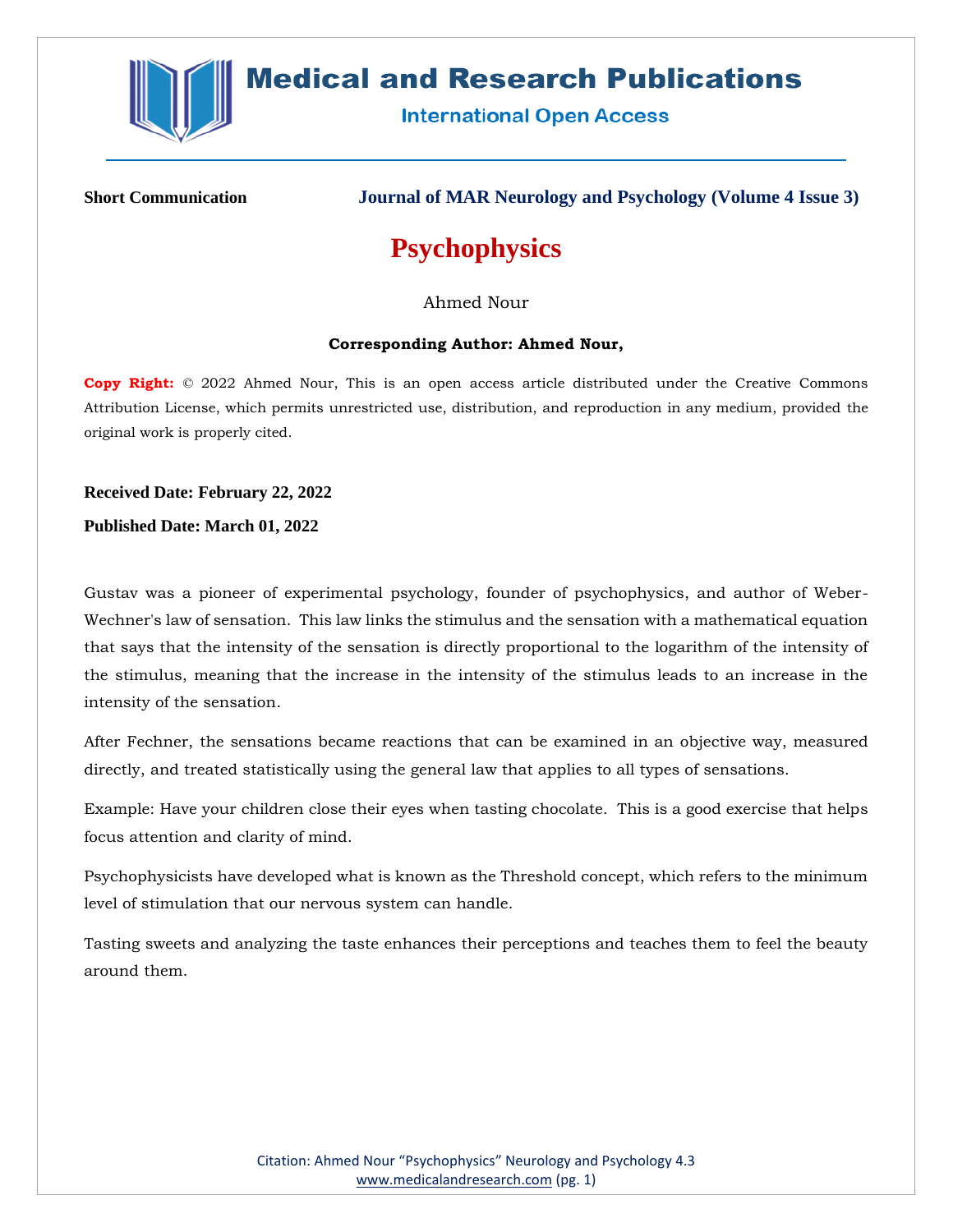

## **Medical and Research Publications**

**International Open Access** 

**Short Communication Journal of MAR Neurology and Psychology (Volume 4 Issue 3)**

# **Psychophysics**

Ahmed Nour

#### **Corresponding Author: Ahmed Nour,**

**Copy Right:** © 2022 Ahmed Nour, This is an open access article distributed under the Creative Commons Attribution License, which permits unrestricted use, distribution, and reproduction in any medium, provided the original work is properly cited.

### **Received Date: February 22, 2022**

**Published Date: March 01, 2022**

Gustav was a pioneer of experimental psychology, founder of psychophysics, and author of Weber-Wechner's law of sensation. This law links the stimulus and the sensation with a mathematical equation that says that the intensity of the sensation is directly proportional to the logarithm of the intensity of the stimulus, meaning that the increase in the intensity of the stimulus leads to an increase in the intensity of the sensation.

After Fechner, the sensations became reactions that can be examined in an objective way, measured directly, and treated statistically using the general law that applies to all types of sensations.

Example: Have your children close their eyes when tasting chocolate. This is a good exercise that helps focus attention and clarity of mind.

Psychophysicists have developed what is known as the Threshold concept, which refers to the minimum level of stimulation that our nervous system can handle.

Tasting sweets and analyzing the taste enhances their perceptions and teaches them to feel the beauty around them.